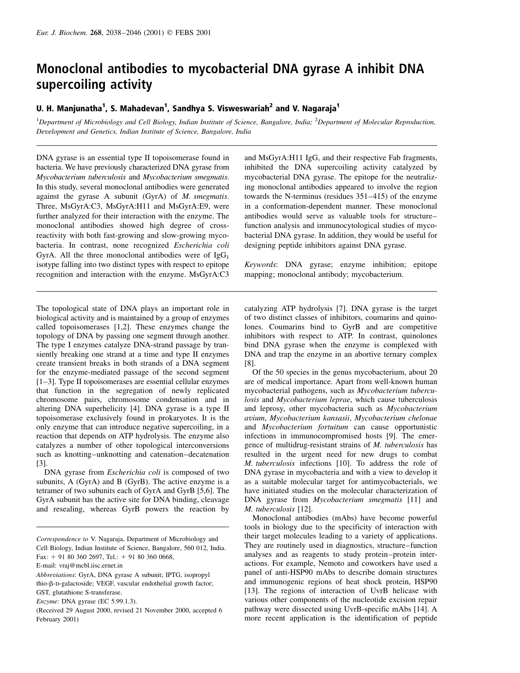# Monoclonal antibodies to mycobacterial DNA gyrase A inhibit DNA supercoiling activity

# U. H. Manjunatha<sup>1</sup>, S. Mahadevan<sup>1</sup>, Sandhya S. Visweswariah<sup>2</sup> and V. Nagaraja<sup>1</sup>

<sup>1</sup>Department of Microbiology and Cell Biology, Indian Institute of Science, Bangalore, India; <sup>2</sup>Department of Molecular Reproduction, Development and Genetics, Indian Institute of Science, Bangalore, India

DNA gyrase is an essential type II topoisomerase found in bacteria. We have previously characterized DNA gyrase from Mycobacterium tuberculosis and Mycobacterium smegmatis. In this study, several monoclonal antibodies were generated against the gyrase A subunit (GyrA) of M. smegmatis. Three, MsGyrA:C3, MsGyrA:H11 and MsGyrA:E9, were further analyzed for their interaction with the enzyme. The monoclonal antibodies showed high degree of crossreactivity with both fast-growing and slow-growing mycobacteria. In contrast, none recognized Escherichia coli GyrA. All the three monoclonal antibodies were of  $IgG_1$ isotype falling into two distinct types with respect to epitope recognition and interaction with the enzyme. MsGyrA:C3

The topological state of DNA plays an important role in biological activity and is maintained by a group of enzymes called topoisomerases [1,2]. These enzymes change the topology of DNA by passing one segment through another. The type I enzymes catalyze DNA-strand passage by transiently breaking one strand at a time and type II enzymes create transient breaks in both strands of a DNA segment for the enzyme-mediated passage of the second segment [1-3]. Type II topoisomerases are essential cellular enzymes that function in the segregation of newly replicated chromosome pairs, chromosome condensation and in altering DNA superhelicity [4]. DNA gyrase is a type II topoisomerase exclusively found in prokaryotes. It is the only enzyme that can introduce negative supercoiling, in a reaction that depends on ATP hydrolysis. The enzyme also catalyzes a number of other topological interconversions such as knotting-unknotting and catenation-decatenation [3].

DNA gyrase from Escherichia coli is composed of two subunits, A (GyrA) and B (GyrB). The active enzyme is a tetramer of two subunits each of GyrA and GyrB [5,6]. The GyrA subunit has the active site for DNA binding, cleavage and resealing, whereas GyrB powers the reaction by

and MsGyrA:H11 IgG, and their respective Fab fragments, inhibited the DNA supercoiling activity catalyzed by mycobacterial DNA gyrase. The epitope for the neutralizing monoclonal antibodies appeared to involve the region towards the N-terminus (residues  $351-415$ ) of the enzyme in a conformation-dependent manner. These monoclonal antibodies would serve as valuable tools for structurefunction analysis and immunocytological studies of mycobacterial DNA gyrase. In addition, they would be useful for designing peptide inhibitors against DNA gyrase.

Keywords: DNA gyrase; enzyme inhibition; epitope mapping; monoclonal antibody; mycobacterium.

catalyzing ATP hydrolysis [7]. DNA gyrase is the target of two distinct classes of inhibitors, coumarins and quinolones. Coumarins bind to GyrB and are competitive inhibitors with respect to ATP. In contrast, quinolones bind DNA gyrase when the enzyme is complexed with DNA and trap the enzyme in an abortive ternary complex [8].

Of the 50 species in the genus mycobacterium, about 20 are of medical importance. Apart from well-known human mycobacterial pathogens, such as Mycobacterium tuberculosis and Mycobacterium leprae, which cause tuberculosis and leprosy, other mycobacteria such as Mycobacterium avium, Mycobacterium kansasii, Mycobacterium chelonae and Mycobacterium fortuitum can cause opportunistic infections in immunocompromised hosts [9]. The emergence of multidrug-resistant strains of M. tuberculosis has resulted in the urgent need for new drugs to combat M. tuberculosis infections [10]. To address the role of DNA gyrase in mycobacteria and with a view to develop it as a suitable molecular target for antimycobacterials, we have initiated studies on the molecular characterization of DNA gyrase from *Mycobacterium smegmatis* [11] and M. tuberculosis [12].

Monoclonal antibodies (mAbs) have become powerful tools in biology due to the specificity of interaction with their target molecules leading to a variety of applications. They are routinely used in diagnostics, structure–function analyses and as reagents to study protein-protein interactions. For example, Nemoto and coworkers have used a panel of anti-HSP90 mAbs to describe domain structures and immunogenic regions of heat shock protein, HSP90 [13]. The regions of interaction of UvrB helicase with various other components of the nucleotide excision repair pathway were dissected using UvrB-specific mAbs [14]. A more recent application is the identification of peptide

Correspondence to V. Nagaraja, Department of Microbiology and Cell Biology, Indian Institute of Science, Bangalore, 560 012, India. Fax:  $+$  91 80 360 2697, Tel.:  $+$  91 80 360 0668,

E-mail: vraj@mcbl.iisc.ernet.in

Abbreviations: GyrA, DNA gyrase A subunit; IPTG, isopropyl thio- $\beta$ -D-galactoside; VEGF, vascular endothelial growth factor;

GST, glutathione S-transferase.

Enzyme: DNA gyrase (EC 5.99.1.3).

<sup>(</sup>Received 29 August 2000, revised 21 November 2000, accepted 6 February 2001)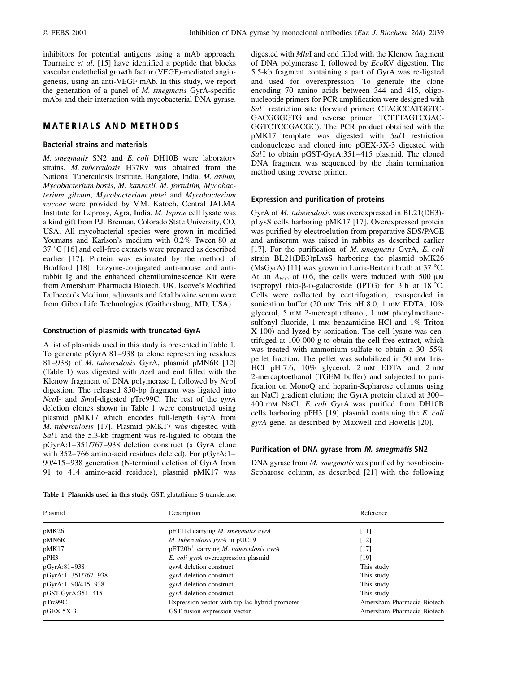inhibitors for potential antigens using a mAb approach. Tournaire *et al.* [15] have identified a peptide that blocks vascular endothelial growth factor (VEGF)-mediated angiogenesis, using an anti-VEGF mAb. In this study, we report the generation of a panel of  $M$ . smegmatis GyrA-specific mAbs and their interaction with mycobacterial DNA gyrase.

# MATERIALS AND METHODS

#### Bacterial strains and materials

M. smegmatis SN2 and E. coli DH10B were laboratory strains. M. tuberculosis H37Rv was obtained from the National Tuberculosis Institute, Bangalore, India. M. avium, Mycobacterium bovis, M. kansasii, M. fortuitim, Mycobacterium gilvum, Mycobacterium phlei and Mycobacterium voccae were provided by V.M. Katoch, Central JALMA Institute for Leprosy, Agra, India. M. leprae cell lysate was a kind gift from P.J. Brennan, Colorado State University, CO, USA. All mycobacterial species were grown in modified Youmans and Karlson's medium with 0.2% Tween 80 at  $37 \text{ °C}$  [16] and cell-free extracts were prepared as described earlier [17]. Protein was estimated by the method of Bradford [18]. Enzyme-conjugated anti-mouse and antirabbit Ig and the enhanced chemiluminescence Kit were from Amersham Pharmacia Biotech, UK. Iscove's Modified Dulbecco's Medium, adjuvants and fetal bovine serum were from Gibco Life Technologies (Gaithersburg, MD, USA).

#### Construction of plasmids with truncated GyrA

A list of plasmids used in this study is presented in Table 1. To generate pGyrA:81-938 (a clone representing residues 81-938) of *M. tuberculosis* GyrA, plasmid pMN6R [12] (Table 1) was digested with AseI and end filled with the Klenow fragment of DNA polymerase I, followed by NcoI digestion. The released 850-bp fragment was ligated into NcoI- and SmaI-digested pTrc99C. The rest of the gyrA deletion clones shown in Table 1 were constructed using plasmid pMK17 which encodes full-length GyrA from M. tuberculosis [17]. Plasmid pMK17 was digested with SalI and the 5.3-kb fragment was re-ligated to obtain the pGyrA:1-351/767-938 deletion construct (a GyrA clone with  $352-766$  amino-acid residues deleted). For pGyrA:1-90/415-938 generation (N-terminal deletion of GyrA from 91 to 414 amino-acid residues), plasmid pMK17 was digested with MluI and end filled with the Klenow fragment of DNA polymerase I, followed by EcoRV digestion. The 5.5-kb fragment containing a part of GyrA was re-ligated and used for overexpression. To generate the clone encoding 70 amino acids between 344 and 415, oligonucleotide primers for PCR amplification were designed with SalI restriction site (forward primer: CTAGCCATGGTC-GACGGGGTG and reverse primer: TCTTTAGTCGAC-GGTCTCCGACGC). The PCR product obtained with the pMK17 template was digested with SalI restriction endonuclease and cloned into pGEX-5X-3 digested with SalI to obtain pGST-GyrA:351-415 plasmid. The cloned DNA fragment was sequenced by the chain termination method using reverse primer.

#### Expression and purification of proteins

GyrA of M. tuberculosis was overexpressed in BL21(DE3) pLysS cells harboring pMK17 [17]. Overexpressed protein was purified by electroelution from preparative SDS/PAGE and antiserum was raised in rabbits as described earlier [17]. For the purification of M. smegmatis GyrA, E. coli strain BL21(DE3)pLysS harboring the plasmid pMK26 (MsGyrA) [11] was grown in Luria-Bertani broth at  $37^{\circ}$ C. At an  $A_{600}$  of 0.6, the cells were induced with 500  $\mu$ M isopropyl thio- $\beta$ -D-galactoside (IPTG) for 3 h at 18 °C. Cells were collected by centrifugation, resuspended in sonication buffer (20 mm Tris pH 8.0, 1 mm EDTA,  $10\%$ glycerol, 5 mm 2-mercaptoethanol, 1 mm phenylmethanesulfonyl fluoride, 1 mm benzamidine HCl and 1% Triton X-100) and lyzed by sonication. The cell lysate was centrifuged at  $100\ 000\ g$  to obtain the cell-free extract, which was treated with ammonium sulfate to obtain a  $30-55\%$ pellet fraction. The pellet was solubilized in 50 mm Tris-HCl pH 7.6, 10% glycerol, 2 mm EDTA and 2 mm 2-mercaptoethanol (TGEM buffer) and subjected to purification on MonoQ and heparin-Sepharose columns using an NaCl gradient elution; the GyrA protein eluted at 300– 400 mm NaCl. E. coli GyrA was purified from DH10B cells harboring pPH3 [19] plasmid containing the E. coli gyrA gene, as described by Maxwell and Howells [20].

# Purification of DNA gyrase from M. smegmatis SN2

DNA gyrase from *M. smegmatis* was purified by novobiocin-Sepharose column, as described [21] with the following

Table 1 Plasmids used in this study. GST, glutathione S-transferase.

| Plasmid             | Description                                     | Reference                  |
|---------------------|-------------------------------------------------|----------------------------|
| pMK26               | pET11d carrying M. smegmatis gyrA               | [11]                       |
| pMN6R               | M. tuberculosis gyrA in pUC19                   | $[12]$                     |
| pMK17               | $pET20b^+$ carrying <i>M. tuberculosis gyrA</i> | $[17]$                     |
| pPH3                | E. coli gyrA overexpression plasmid             | [19]                       |
| pGyrA:81-938        | gyrA deletion construct                         | This study                 |
| pGyrA:1-351/767-938 | gyrA deletion construct                         | This study                 |
| pGyrA:1-90/415-938  | gyrA deletion construct                         | This study                 |
| pGST-GyrA:351-415   | <i>gyrA</i> deletion construct                  | This study                 |
| pTrc99C             | Expression vector with trp-lac hybrid promoter  | Amersham Pharmacia Biotech |
| $pGEX-5X-3$         | GST fusion expression vector                    | Amersham Pharmacia Biotech |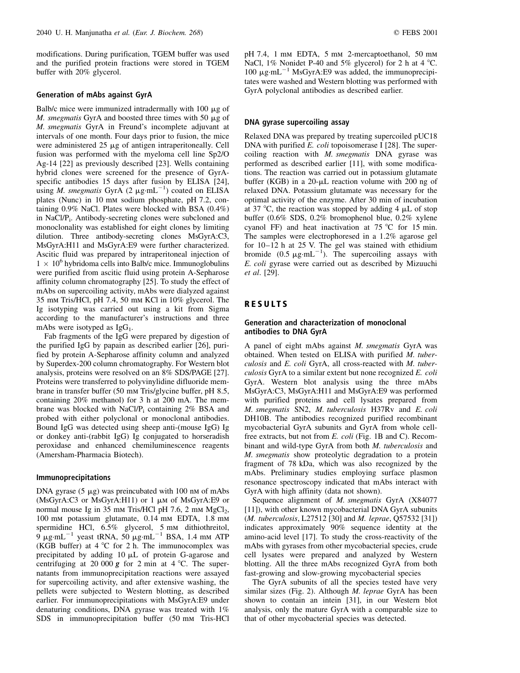modifications. During purification, TGEM buffer was used and the purified protein fractions were stored in TGEM buffer with 20% glycerol.

#### Generation of mAbs against GyrA

Balb/c mice were immunized intradermally with 100  $\mu$ g of M. smegmatis GyrA and boosted three times with 50  $\mu$ g of M. smegmatis GyrA in Freund's incomplete adjuvant at intervals of one month. Four days prior to fusion, the mice were administered  $25 \mu g$  of antigen intraperitoneally. Cell fusion was performed with the myeloma cell line Sp2/O Ag-14 [22] as previously described [23]. Wells containing hybrid clones were screened for the presence of GyrAspecific antibodies 15 days after fusion by ELISA [24], using *M. smegmatis* GyrA (2  $\mu$ g·mL<sup>-1</sup>) coated on ELISA plates (Nunc) in 10 mm sodium phosphate, pH 7.2, containing 0.9% NaCl. Plates were blocked with BSA (0.4%) in NaCl/Pi. Antibody-secreting clones were subcloned and monoclonality was established for eight clones by limiting dilution. Three antibody-secreting clones MsGyrA:C3, MsGyrA:H11 and MsGyrA:E9 were further characterized. Ascitic fluid was prepared by intraperitoneal injection of  $1 \times 10^6$  hybridoma cells into Balb/c mice. Immunoglobulins were purified from ascitic fluid using protein A-Sepharose affinity column chromatography [25]. To study the effect of mAbs on supercoiling activity, mAbs were dialyzed against 35 mm Tris/HCl, pH 7.4, 50 mm KCl in 10% glycerol. The Ig isotyping was carried out using a kit from Sigma according to the manufacturer's instructions and three mAbs were isotyped as  $IgG_1$ .

Fab fragments of the IgG were prepared by digestion of the purified IgG by papain as described earlier [26], purified by protein A-Sepharose affinity column and analyzed by Superdex-200 column chromatography. For Western blot analysis, proteins were resolved on an 8% SDS/PAGE [27]. Proteins were transferred to polyvinylidine difluoride membrane in transfer buffer (50 mm Tris/glycine buffer, pH 8.5, containing 20% methanol) for 3 h at 200 mA. The membrane was blocked with NaCl/ $P_i$  containing 2% BSA and probed with either polyclonal or monoclonal antibodies. Bound IgG was detected using sheep anti-(mouse IgG) Ig or donkey anti-(rabbit IgG) Ig conjugated to horseradish peroxidase and enhanced chemiluminescence reagents (Amersham-Pharmacia Biotech).

#### Immunoprecipitations

DNA gyrase  $(5 \mu g)$  was preincubated with 100 nm of mAbs  $(MsGyrA:C3$  or  $MsGyrA:H11)$  or 1  $\mu$ m of  $MsGyrA:E9$  or normal mouse Ig in 35 mm Tris/HCl pH 7.6, 2 mm  $MgCl<sub>2</sub>$ , 100 mm potassium glutamate, 0.14 mm EDTA, 1.8 mm spermidine HCl, 6.5% glycerol, 5 mm dithiothreitol,  $9 \mu g·mL^{-1}$  yeast tRNA,  $50 \mu g·mL^{-1}$  BSA, 1.4 mm ATP (KGB buffer) at  $4^{\circ}$ C for 2 h. The immunocomplex was precipitated by adding 10  $\mu$ L of protein G-agarose and centrifuging at 20 000 g for 2 min at  $4^{\circ}$ C. The supernatants from immunoprecipitation reactions were assayed for supercoiling activity, and after extensive washing, the pellets were subjected to Western blotting, as described earlier. For immunoprecipitations with MsGyrA:E9 under denaturing conditions, DNA gyrase was treated with 1% SDS in immunoprecipitation buffer (50 mm Tris-HCl

pH 7.4, 1 mm EDTA, 5 mm 2-mercaptoethanol, 50 mm NaCl, 1% Nonidet P-40 and 5% glycerol) for 2 h at 4  $^{\circ}$ C. 100  $\mu$ g·mL<sup>-1</sup> MsGyrA:E9 was added, the immunoprecipitates were washed and Western blotting was performed with GyrA polyclonal antibodies as described earlier.

# DNA gyrase supercoiling assay

Relaxed DNA was prepared by treating supercoiled pUC18 DNA with purified *E. coli* topoisomerase I [28]. The supercoiling reaction with  $M$ . smegmatis DNA gyrase was performed as described earlier [11], with some modifications. The reaction was carried out in potassium glutamate buffer (KGB) in a  $20$ - $\mu$ L reaction volume with 200 ng of relaxed DNA. Potassium glutamate was necessary for the optimal activity of the enzyme. After 30 min of incubation at 37 °C, the reaction was stopped by adding 4  $\mu$ L of stop buffer (0.6% SDS, 0.2% bromophenol blue, 0.2% xylene cyanol FF) and heat inactivation at  $75^{\circ}$ C for 15 min. The samples were electrophoresed in a 1.2% agarose gel for  $10-12$  h at  $25$  V. The gel was stained with ethidium bromide (0.5  $\mu$ g·mL<sup>-1</sup>). The supercoiling assays with E. coli gyrase were carried out as described by Mizuuchi et al. [29].

### RESULTS

#### Generation and characterization of monoclonal antibodies to DNA GyrA

A panel of eight mAbs against M. smegmatis GyrA was obtained. When tested on ELISA with purified M. tuberculosis and E. coli GyrA, all cross-reacted with M. tuberculosis GyrA to a similar extent but none recognized E. coli GyrA. Western blot analysis using the three mAbs MsGyrA:C3, MsGyrA:H11 and MsGyrA:E9 was performed with purified proteins and cell lysates prepared from M. smegmatis SN2, M. tuberculosis H37Rv and E. coli DH10B. The antibodies recognized purified recombinant mycobacterial GyrA subunits and GyrA from whole cellfree extracts, but not from E. coli (Fig. 1B and C). Recombinant and wild-type GyrA from both M. tuberculosis and M. smegmatis show proteolytic degradation to a protein fragment of 78 kDa, which was also recognized by the mAbs. Preliminary studies employing surface plasmon resonance spectroscopy indicated that mAbs interact with GyrA with high affinity (data not shown).

Sequence alignment of *M. smegmatis* GyrA (X84077) [11]), with other known mycobacterial DNA GyrA subunits (M. tuberculosis, L27512 [30] and M. leprae, Q57532 [31]) indicates approximately 90% sequence identity at the amino-acid level [17]. To study the cross-reactivity of the mAbs with gyrases from other mycobacterial species, crude cell lysates were prepared and analyzed by Western blotting. All the three mAbs recognized GyrA from both fast-growing and slow-growing mycobacterial species

The GyrA subunits of all the species tested have very similar sizes (Fig. 2). Although M. leprae GyrA has been shown to contain an intein [31], in our Western blot analysis, only the mature GyrA with a comparable size to that of other mycobacterial species was detected.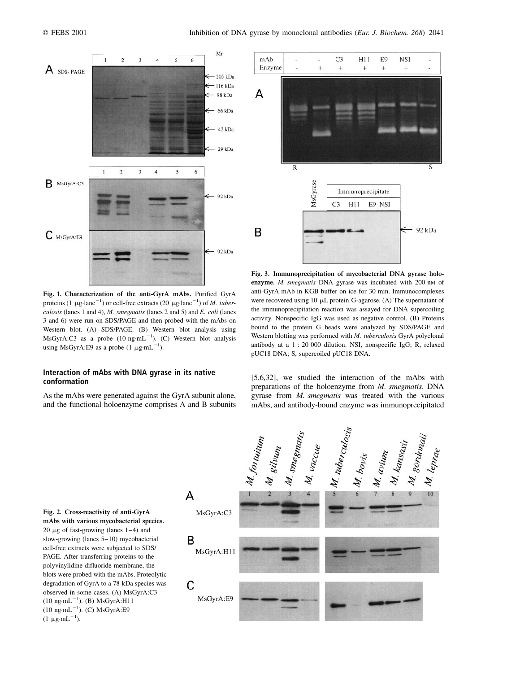

Fig. 1. Characterization of the anti-GyrA mAbs. Purified GyrA proteins (1  $\mu$ g·lane<sup>-1</sup>) or cell-free extracts (20  $\mu$ g·lane<sup>-1</sup>) of *M. tuber*culosis (lanes 1 and 4), M. smegmatis (lanes 2 and 5) and E. coli (lanes 3 and 6) were run on SDS/PAGE and then probed with the mAbs on Western blot. (A) SDS/PAGE. (B) Western blot analysis using MsGyrA:C3 as a probe  $(10 \text{ ng} \cdot \text{mL}^{-1})$ . (C) Western blot analysis using MsGyrA:E9 as a probe  $(1 \mu g \cdot mL^{-1})$ .

# Interaction of mAbs with DNA gyrase in its native conformation

As the mAbs were generated against the GyrA subunit alone, and the functional holoenzyme comprises A and B subunits

enzyme. M. smegmatis DNA gyrase was incubated with 200 nm of anti-GyrA mAb in KGB buffer on ice for 30 min. Immunocomplexes were recovered using 10  $\mu$ L protein G-agarose. (A) The supernatant of the immunoprecipitation reaction was assayed for DNA supercoiling activity. Nonspecific IgG was used as negative control. (B) Proteins bound to the protein G beads were analyzed by SDS/PAGE and Western blotting was performed with M. tuberculosis GyrA polyclonal antibody at a 1 : 20 000 dilution. NSI, nonspecific IgG; R, relaxed pUC18 DNA; S, supercoiled pUC18 DNA.

[5,6,32], we studied the interaction of the mAbs with preparations of the holoenzyme from M. smegmatis. DNA gyrase from M. smegmatis was treated with the various mAbs, and antibody-bound enzyme was immunoprecipitated



Fig. 2. Cross-reactivity of anti-GyrA mAbs with various mycobacterial species. 20  $\mu$ g of fast-growing (lanes 1–4) and slow-growing (lanes  $5-10$ ) mycobacterial cell-free extracts were subjected to SDS/ PAGE. After transferring proteins to the polyvinylidine difluoride membrane, the blots were probed with the mAbs. Proteolytic degradation of GyrA to a 78 kDa species was observed in some cases. (A) MsGyrA:C3  $(10 \text{ ng·mL}^{-1})$ . (B) MsGyrA:H11  $(10 \text{ ng} \cdot \text{mL}^{-1})$ . (C) MsGyrA:E9  $(1 \mu g \cdot mL^{-1})$ .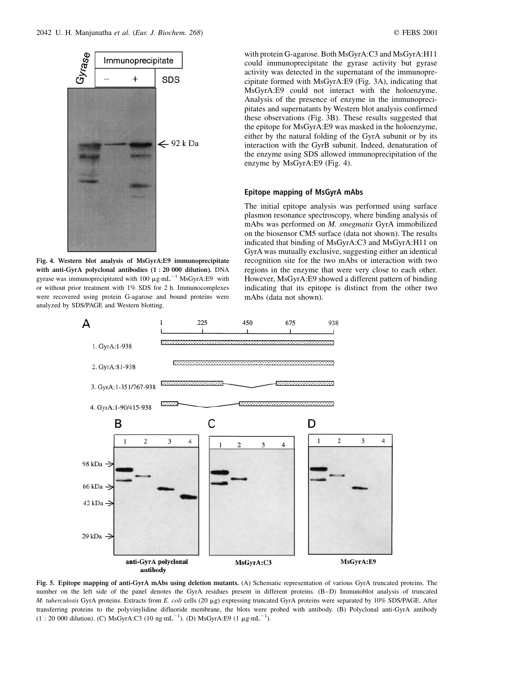



Fig. 4. Western blot analysis of MsGyrA:E9 immunoprecipitate with anti-GyrA polyclonal antibodies (1 : 20 000 dilution). DNA gyrase was immunoprecipitated with 100  $\mu$ g·mL<sup>-1</sup> MsGyrA:E9 with or without prior treatment with 1% SDS for 2 h. Immunocomplexes were recovered using protein G-agarose and bound proteins were analyzed by SDS/PAGE and Western blotting.

with protein G-agarose. Both MsGyrA:C3 and MsGyrA:H11 could immunoprecipitate the gyrase activity but gyrase activity was detected in the supernatant of the immunoprecipitate formed with MsGyrA:E9 (Fig. 3A), indicating that MsGyrA:E9 could not interact with the holoenzyme. Analysis of the presence of enzyme in the immunoprecipitates and supernatants by Western blot analysis confirmed these observations (Fig. 3B). These results suggested that the epitope for MsGyrA:E9 was masked in the holoenzyme, either by the natural folding of the GyrA subunit or by its interaction with the GyrB subunit. Indeed, denaturation of the enzyme using SDS allowed immunoprecipitation of the enzyme by MsGyrA:E9 (Fig. 4).

#### Epitope mapping of MsGyrA mAbs

The initial epitope analysis was performed using surface plasmon resonance spectroscopy, where binding analysis of mAbs was performed on M. smegmatis GyrA immobilized on the biosensor CM5 surface (data not shown). The results indicated that binding of MsGyrA:C3 and MsGyrA:H11 on GyrA was mutually exclusive, suggesting either an identical recognition site for the two mAbs or interaction with two regions in the enzyme that were very close to each other. However, MsGyrA:E9 showed a different pattern of binding indicating that its epitope is distinct from the other two mAbs (data not shown).



Fig. 5. Epitope mapping of anti-GyrA mAbs using deletion mutants. (A) Schematic representation of various GyrA truncated proteins. The number on the left side of the panel denotes the GyrA residues present in different proteins. (B-D) Immunoblot analysis of truncated M. tuberculosis GyrA proteins. Extracts from E. coli cells (20 µg) expressing truncated GyrA proteins were separated by 10% SDS/PAGE. After transferring proteins to the polyvinylidine difluoride membrane, the blots were probed with antibody. (B) Polyclonal anti-GyrA antibody  $(1: 20 000$  dilution). (C) MsGyrA:C3  $(10 \text{ ng} \cdot \text{mL}^{-1})$ . (D) MsGyrA:E9  $(1 \mu \text{g} \cdot \text{mL}^{-1})$ .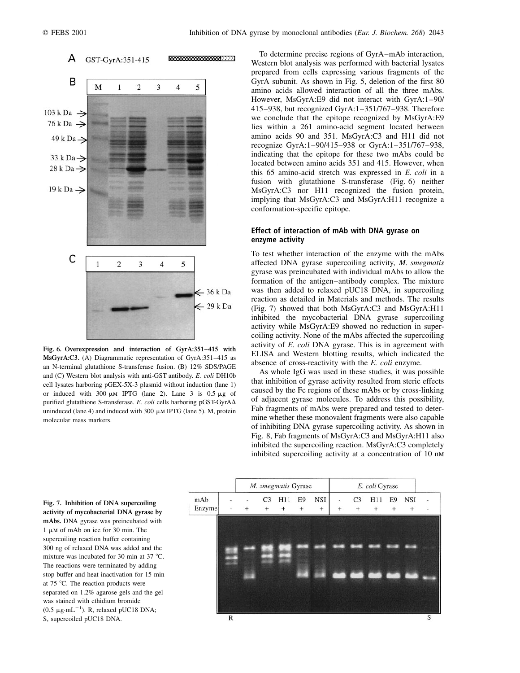

Fig. 6. Overexpression and interaction of GyrA:351-415 with MsGyrA:C3. (A) Diagrammatic representation of GyrA:351-415 as an N-terminal glutathione S-transferase fusion. (B) 12% SDS/PAGE and (C) Western blot analysis with anti-GST antibody. E. coli DH10b cell lysates harboring pGEX-5X-3 plasmid without induction (lane 1) or induced with 300  $\mu$ m IPTG (lane 2). Lane 3 is 0.5  $\mu$ g of purified glutathione S-transferase. E. coli cells harboring pGST-GyrA $\Delta$ uninduced (lane 4) and induced with  $300 \mu M$  IPTG (lane 5). M, protein molecular mass markers.

To determine precise regions of GyrA-mAb interaction, Western blot analysis was performed with bacterial lysates prepared from cells expressing various fragments of the GyrA subunit. As shown in Fig. 5, deletion of the first 80 amino acids allowed interaction of all the three mAbs. However, MsGyrA:E9 did not interact with GyrA:1-90/  $415-938$ , but recognized GyrA: $1-351/767-938$ . Therefore we conclude that the epitope recognized by MsGyrA:E9 lies within a 261 amino-acid segment located between amino acids 90 and 351. MsGyrA:C3 and H11 did not recognize GyrA:1-90/415-938 or GyrA:1-351/767-938, indicating that the epitope for these two mAbs could be located between amino acids 351 and 415. However, when this 65 amino-acid stretch was expressed in E. coli in a fusion with glutathione S-transferase (Fig. 6) neither MsGyrA:C3 nor H11 recognized the fusion protein, implying that MsGyrA:C3 and MsGyrA:H11 recognize a conformation-specific epitope.

# Effect of interaction of mAb with DNA gyrase on enzyme activity

To test whether interaction of the enzyme with the mAbs affected DNA gyrase supercoiling activity, M. smegmatis gyrase was preincubated with individual mAbs to allow the formation of the antigen-antibody complex. The mixture was then added to relaxed pUC18 DNA, in supercoiling reaction as detailed in Materials and methods. The results (Fig. 7) showed that both MsGyrA:C3 and MsGyrA:H11 inhibited the mycobacterial DNA gyrase supercoiling activity while MsGyrA:E9 showed no reduction in supercoiling activity. None of the mAbs affected the supercoiling activity of E. coli DNA gyrase. This is in agreement with ELISA and Western blotting results, which indicated the absence of cross-reactivity with the E. coli enzyme.

As whole IgG was used in these studies, it was possible that inhibition of gyrase activity resulted from steric effects caused by the Fc regions of these mAbs or by cross-linking of adjacent gyrase molecules. To address this possibility, Fab fragments of mAbs were prepared and tested to determine whether these monovalent fragments were also capable of inhibiting DNA gyrase supercoiling activity. As shown in Fig. 8, Fab fragments of MsGyrA:C3 and MsGyrA:H11 also inhibited the supercoiling reaction. MsGyrA:C3 completely inhibited supercoiling activity at a concentration of 10 nm



Fig. 7. Inhibition of DNA supercoiling activity of mycobacterial DNA gyrase by mAbs. DNA gyrase was preincubated with  $1 \mu M$  of mAb on ice for 30 min. The supercoiling reaction buffer containing 300 ng of relaxed DNA was added and the mixture was incubated for 30 min at 37  $^{\circ}$ C. The reactions were terminated by adding stop buffer and heat inactivation for 15 min at  $75$  °C. The reaction products were separated on 1.2% agarose gels and the gel was stained with ethidium bromide  $(0.5 \mu g \cdot mL^{-1})$ . R, relaxed pUC18 DNA; S, supercoiled pUC18 DNA.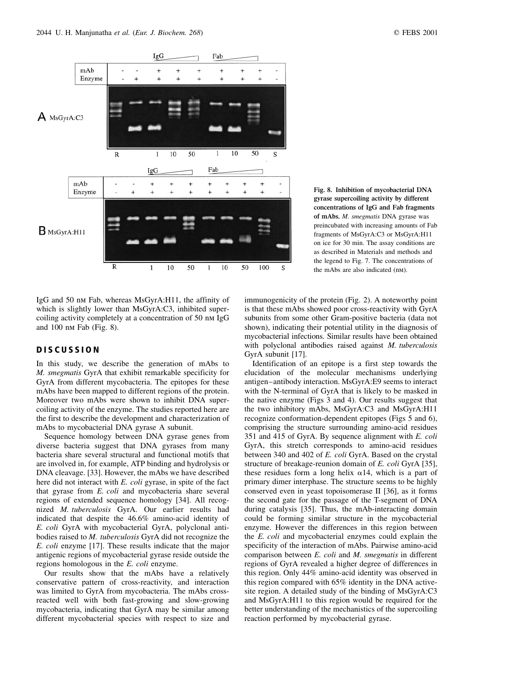

Fig. 8. Inhibition of mycobacterial DNA gyrase supercoiling activity by different concentrations of IgG and Fab fragments of mAbs. M. smegmatis DNA gyrase was preincubated with increasing amounts of Fab fragments of MsGyrA:C3 or MsGyrA:H11 on ice for 30 min. The assay conditions are as described in Materials and methods and the legend to Fig. 7. The concentrations of the mAbs are also indicated (nm).

IgG and 50 nm Fab, whereas MsGyrA:H11, the affinity of which is slightly lower than MsGyrA:C3, inhibited supercoiling activity completely at a concentration of 50 nm IgG and 100 nm Fab (Fig. 8).

# **DISCUSSION**

In this study, we describe the generation of mAbs to M. smegmatis GyrA that exhibit remarkable specificity for GyrA from different mycobacteria. The epitopes for these mAbs have been mapped to different regions of the protein. Moreover two mAbs were shown to inhibit DNA supercoiling activity of the enzyme. The studies reported here are the first to describe the development and characterization of mAbs to mycobacterial DNA gyrase A subunit.

Sequence homology between DNA gyrase genes from diverse bacteria suggest that DNA gyrases from many bacteria share several structural and functional motifs that are involved in, for example, ATP binding and hydrolysis or DNA cleavage. [33]. However, the mAbs we have described here did not interact with E. coli gyrase, in spite of the fact that gyrase from E. coli and mycobacteria share several regions of extended sequence homology [34]. All recognized M. tuberculosis GyrA. Our earlier results had indicated that despite the 46.6% amino-acid identity of E. coli GyrA with mycobacterial GyrA, polyclonal antibodies raised to M. tuberculosis GyrA did not recognize the E. coli enzyme [17]. These results indicate that the major antigenic regions of mycobacterial gyrase reside outside the regions homologous in the E. coli enzyme.

Our results show that the mAbs have a relatively conservative pattern of cross-reactivity, and interaction was limited to GyrA from mycobacteria. The mAbs crossreacted well with both fast-growing and slow-growing mycobacteria, indicating that GyrA may be similar among different mycobacterial species with respect to size and immunogenicity of the protein (Fig. 2). A noteworthy point is that these mAbs showed poor cross-reactivity with GyrA subunits from some other Gram-positive bacteria (data not shown), indicating their potential utility in the diagnosis of mycobacterial infections. Similar results have been obtained with polyclonal antibodies raised against M. tuberculosis GyrA subunit [17].

Identification of an epitope is a first step towards the elucidation of the molecular mechanisms underlying antigen-antibody interaction. MsGyrA:E9 seems to interact with the N-terminal of GyrA that is likely to be masked in the native enzyme (Figs 3 and 4). Our results suggest that the two inhibitory mAbs, MsGyrA:C3 and MsGyrA:H11 recognize conformation-dependent epitopes (Figs 5 and 6), comprising the structure surrounding amino-acid residues 351 and 415 of GyrA. By sequence alignment with E. coli GyrA, this stretch corresponds to amino-acid residues between 340 and 402 of E. coli GyrA. Based on the crystal structure of breakage-reunion domain of E. coli GyrA [35], these residues form a long helix  $\alpha$ 14, which is a part of primary dimer interphase. The structure seems to be highly conserved even in yeast topoisomerase II [36], as it forms the second gate for the passage of the T-segment of DNA during catalysis [35]. Thus, the mAb-interacting domain could be forming similar structure in the mycobacterial enzyme. However the differences in this region between the E. coli and mycobacterial enzymes could explain the specificity of the interaction of mAbs. Pairwise amino-acid comparison between E. coli and M. smegmatis in different regions of GyrA revealed a higher degree of differences in this region. Only 44% amino-acid identity was observed in this region compared with 65% identity in the DNA activesite region. A detailed study of the binding of MsGyrA:C3 and MsGyrA:H11 to this region would be required for the better understanding of the mechanistics of the supercoiling reaction performed by mycobacterial gyrase.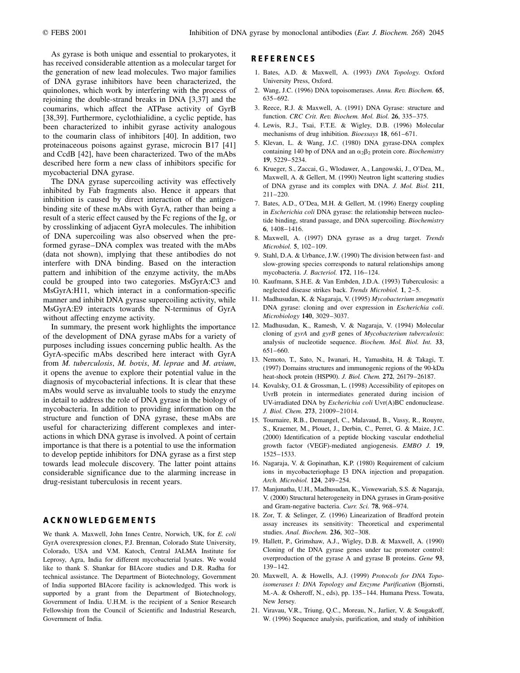As gyrase is both unique and essential to prokaryotes, it has received considerable attention as a molecular target for the generation of new lead molecules. Two major families of DNA gyrase inhibitors have been characterized, the quinolones, which work by interfering with the process of rejoining the double-strand breaks in DNA [3,37] and the coumarins, which affect the ATPase activity of GyrB [38,39]. Furthermore, cyclothialidine, a cyclic peptide, has been characterized to inhibit gyrase activity analogous to the coumarin class of inhibitors [40]. In addition, two proteinaceous poisons against gyrase, microcin B17 [41] and CcdB [42], have been characterized. Two of the mAbs described here form a new class of inhibitors specific for mycobacterial DNA gyrase.

The DNA gyrase supercoiling activity was effectively inhibited by Fab fragments also. Hence it appears that inhibition is caused by direct interaction of the antigenbinding site of these mAbs with GyrA, rather than being a result of a steric effect caused by the Fc regions of the Ig, or by crosslinking of adjacent GyrA molecules. The inhibition of DNA supercoiling was also observed when the preformed gyrase-DNA complex was treated with the mAbs (data not shown), implying that these antibodies do not interfere with DNA binding. Based on the interaction pattern and inhibition of the enzyme activity, the mAbs could be grouped into two categories. MsGyrA:C3 and MsGyrA:H11, which interact in a conformation-specific manner and inhibit DNA gyrase supercoiling activity, while MsGyrA:E9 interacts towards the N-terminus of GyrA without affecting enzyme activity.

In summary, the present work highlights the importance of the development of DNA gyrase mAbs for a variety of purposes including issues concerning public health. As the GyrA-specific mAbs described here interact with GyrA from M. tuberculosis, M. bovis, M. leprae and M. avium, it opens the avenue to explore their potential value in the diagnosis of mycobacterial infections. It is clear that these mAbs would serve as invaluable tools to study the enzyme in detail to address the role of DNA gyrase in the biology of mycobacteria. In addition to providing information on the structure and function of DNA gyrase, these mAbs are useful for characterizing different complexes and interactions in which DNA gyrase is involved. A point of certain importance is that there is a potential to use the information to develop peptide inhibitors for DNA gyrase as a first step towards lead molecule discovery. The latter point attains considerable significance due to the alarming increase in drug-resistant tuberculosis in recent years.

#### ACKNOWLEDGEMENTS

We thank A. Maxwell, John Innes Centre, Norwich, UK, for E. coli GyrA overexpression clones, P.J. Brennan, Colorado State University, Colorado, USA and V.M. Katoch, Central JALMA Institute for Leprosy, Agra, India for different mycobacterial lysates. We would like to thank S. Shankar for BIAcore studies and D.R. Radha for technical assistance. The Department of Biotechnology, Government of India supported BIAcore facility is acknowledged. This work is supported by a grant from the Department of Biotechnology, Government of India. U.H.M. is the recipient of a Senior Research Fellowship from the Council of Scientific and Industrial Research, Government of India.

# REFERENCES

- 1. Bates, A.D. & Maxwell, A. (1993) DNA Topology. Oxford University Press, Oxford.
- 2. Wang, J.C. (1996) DNA topoisomerases. Annu. Rev. Biochem. 65, 635±692.
- 3. Reece, R.J. & Maxwell, A. (1991) DNA Gyrase: structure and function. CRC Crit. Rev. Biochem. Mol. Biol. 26, 335-375.
- 4. Lewis, R.J., Tsai, F.T.E. & Wigley, D.B. (1996) Molecular mechanisms of drug inhibition. Bioessays 18, 661-671.
- 5. Klevan, L. & Wang, J.C. (1980) DNA gyrase-DNA complex containing 140 bp of DNA and an  $\alpha_2\beta_2$  protein core. Biochemistry 19, 5229-5234.
- 6. Krueger, S., Zaccai, G., Wlodawer, A., Langowski, J., O'Dea, M., Maxwell, A. & Gellert, M. (1990) Neutron light scattering studies of DNA gyrase and its complex with DNA. J. Mol. Biol. 211, 211±220.
- 7. Bates, A.D., O'Dea, M.H. & Gellert, M. (1996) Energy coupling in Escherichia coli DNA gyrase: the relationship between nucleotide binding, strand passage, and DNA supercoiling. Biochemistry 6, 1408±1416.
- 8. Maxwell, A. (1997) DNA gyrase as a drug target. Trends Microbiol. 5, 102-109.
- 9. Stahl, D.A. & Urbance, J.W. (1990) The division between fast- and slow-growing species corresponds to natural relationships among mycobacteria. J. Bacteriol. 172, 116-124.
- 10. Kaufmann, S.H.E. & Van Embden, J.D.A. (1993) Tuberculosis: a neglected disease strikes back. Trends Microbiol. 1, 2-5.
- 11. Madhusudan, K. & Nagaraja, V. (1995) Mycobacterium smegmatis DNA gyrase: cloning and over expression in Escherichia coli. Microbiology 140, 3029-3037.
- 12. Madhusudan, K., Ramesh, V. & Nagaraja, V. (1994) Molecular cloning of gyrA and gyrB genes of Mycobacterium tuberculosis: analysis of nucleotide sequence. Biochem. Mol. Biol. Int. 33, 651±660.
- 13. Nemoto, T., Sato, N., Iwanari, H., Yamashita, H. & Takagi, T. (1997) Domains structures and immunogenic regions of the 90-kDa heat-shock protein (HSP90). J. Biol. Chem. 272, 26179-26187.
- 14. Kovalsky, O.I. & Grossman, L. (1998) Accessibility of epitopes on UvrB protein in intermediates generated during incision of UV-irradiated DNA by Escherichia coli Uvr(A)BC endonuclease. J. Biol. Chem. 273, 21009-21014.
- 15. Tournaire, R.B., Demangel, C., Malavaud, B., Vassy, R., Rouyre, S., Kraemer, M., Plouet, J., Derbin, C., Perret, G. & Maize, J.C. (2000) Identification of a peptide blocking vascular endothelial growth factor (VEGF)-mediated angiogenesis. EMBO J. 19, 1525±1533.
- 16. Nagaraja, V. & Gopinathan, K.P. (1980) Requirement of calcium ions in mycobacteriophage I3 DNA injection and propagation. Arch. Microbiol. 124, 249-254.
- 17. Manjunatha, U.H., Madhusudan, K., Viswewariah, S.S. & Nagaraja, V. (2000) Structural heterogeneity in DNA gyrases in Gram-positive and Gram-negative bacteria. Curr. Sci. 78, 968-974.
- 18. Zor, T. & Selinger, Z. (1996) Linearization of Bradford protein assay increases its sensitivity: Theoretical and experimental studies. Anal. Biochem. 236, 302-308.
- 19. Hallett, P., Grimshaw, A.J., Wigley, D.B. & Maxwell, A. (1990) Cloning of the DNA gyrase genes under tac promoter control: overproduction of the gyrase A and gyrase B proteins. Gene 93, 139±142.
- 20. Maxwell, A. & Howells, A.J. (1999) Protocols for DNA Topoisomerases I: DNA Topology and Enzyme Purification (Bjornsti, M.-A. & Osheroff, N., eds), pp. 135-144. Humana Press. Towata, New Jersey.
- 21. Viravau, V.R., Triung, Q.C., Moreau, N., Jarlier, V. & Sougakoff, W. (1996) Sequence analysis, purification, and study of inhibition